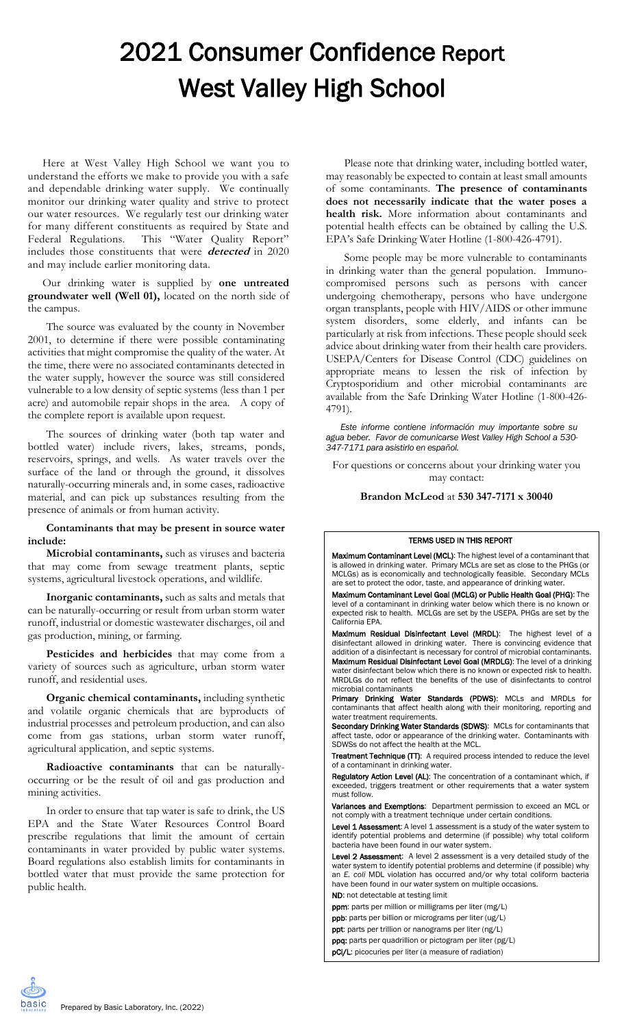# 2021 Consumer Confidence Report West Valley High School

Here at West Valley High School we want you to understand the efforts we make to provide you with a safe and dependable drinking water supply. We continually monitor our drinking water quality and strive to protect our water resources. We regularly test our drinking water for many different constituents as required by State and Federal Regulations. This "Water Quality Report" includes those constituents that were **detected** in 2020 and may include earlier monitoring data.

#### Our drinking water is supplied by **one untreated groundwater well (Well 01),** located on the north side of the campus.

The source was evaluated by the county in November 2001, to determine if there were possible contaminating activities that might compromise the quality of the water. At the time, there were no associated contaminants detected in the water supply, however the source was still considered vulnerable to a low density of septic systems (less than 1 per acre) and automobile repair shops in the area. A copy of the complete report is available upon request.

The sources of drinking water (both tap water and bottled water) include rivers, lakes, streams, ponds, reservoirs, springs, and wells. As water travels over the surface of the land or through the ground, it dissolves naturally-occurring minerals and, in some cases, radioactive material, and can pick up substances resulting from the presence of animals or from human activity.

## **Contaminants that may be present in source water include:**

**Microbial contaminants,** such as viruses and bacteria that may come from sewage treatment plants, septic systems, agricultural livestock operations, and wildlife.

**Inorganic contaminants,** such as salts and metals that can be naturally-occurring or result from urban storm water runoff, industrial or domestic wastewater discharges, oil and gas production, mining, or farming.

**Pesticides and herbicides** that may come from a variety of sources such as agriculture, urban storm water runoff, and residential uses.

**Organic chemical contaminants,** including synthetic and volatile organic chemicals that are byproducts of industrial processes and petroleum production, and can also come from gas stations, urban storm water runoff, agricultural application, and septic systems.

**Radioactive contaminants** that can be naturallyoccurring or be the result of oil and gas production and mining activities.

In order to ensure that tap water is safe to drink, the US EPA and the State Water Resources Control Board prescribe regulations that limit the amount of certain contaminants in water provided by public water systems. Board regulations also establish limits for contaminants in bottled water that must provide the same protection for public health.

Please note that drinking water, including bottled water, may reasonably be expected to contain at least small amounts of some contaminants. **The presence of contaminants does not necessarily indicate that the water poses a health risk.** More information about contaminants and potential health effects can be obtained by calling the U.S. EPA's Safe Drinking Water Hotline (1-800-426-4791).

Some people may be more vulnerable to contaminants in drinking water than the general population. Immunocompromised persons such as persons with cancer undergoing chemotherapy, persons who have undergone organ transplants, people with HIV/AIDS or other immune system disorders, some elderly, and infants can be particularly at risk from infections. These people should seek advice about drinking water from their health care providers. USEPA/Centers for Disease Control (CDC) guidelines on appropriate means to lessen the risk of infection by Cryptosporidium and other microbial contaminants are available from the Safe Drinking Water Hotline (1-800-426- 4791).

*Este informe contiene información muy importante sobre su agua beber. Favor de comunicarse West Valley High School a 530- 347-7171 para asistirlo en español.*

For questions or concerns about your drinking water you may contact:

## **Brandon McLeod** at **530 347-7171 x 30040**

#### TERMS USED IN THIS REPORT

Maximum Contaminant Level (MCL): The highest level of a contaminant that is allowed in drinking water. Primary MCLs are set as close to the PHGs (or MCLGs) as is economically and technologically feasible. Secondary MCLs are set to protect the odor, taste, and appearance of drinking water.

Maximum Contaminant Level Goal (MCLG) or Public Health Goal (PHG): The level of a contaminant in drinking water below which there is no known or expected risk to health. MCLGs are set by the USEPA. PHGs are set by the California EPA.

Maximum Residual Disinfectant Level (MRDL): The highest level of a disinfectant allowed in drinking water. There is convincing evidence that addition of a disinfectant is necessary for control of microbial contaminants. Maximum Residual Disinfectant Level Goal (MRDLG): The level of a drinking water disinfectant below which there is no known or expected risk to health. MRDLGs do not reflect the benefits of the use of disinfectants to control microbial contaminants

Primary Drinking Water Standards (PDWS): MCLs and MRDLs for contaminants that affect health along with their monitoring, reporting and water treatment requirements.

Secondary Drinking Water Standards (SDWS): MCLs for contaminants that affect taste, odor or appearance of the drinking water. Contaminants with SDWSs do not affect the health at the MCL.

Treatment Technique (TT): A required process intended to reduce the level of a contaminant in drinking water.

Regulatory Action Level (AL): The concentration of a contaminant which, if exceeded, triggers treatment or other requirements that a water system must follow.

Variances and Exemptions: Department permission to exceed an MCL or not comply with a treatment technique under certain conditions.

Level 1 Assessment: A level 1 assessment is a study of the water system to identify potential problems and determine (if possible) why total coliform bacteria have been found in our water system.

Level 2 Assessment: A level 2 assessment is a very detailed study of the water system to identify potential problems and determine (if possible) why an *E. coli* MDL violation has occurred and/or why total coliform bacteria have been found in our water system on multiple occasions. ND: not detectable at testing limit

ppm: parts per million or milligrams per liter (mg/L)

ppb: parts per billion or micrograms per liter (ug/L)

ppt: parts per trillion or nanograms per liter (ng/L)

ppq: parts per quadrillion or pictogram per liter (pg/L)

pCi/L: picocuries per liter (a measure of radiation)